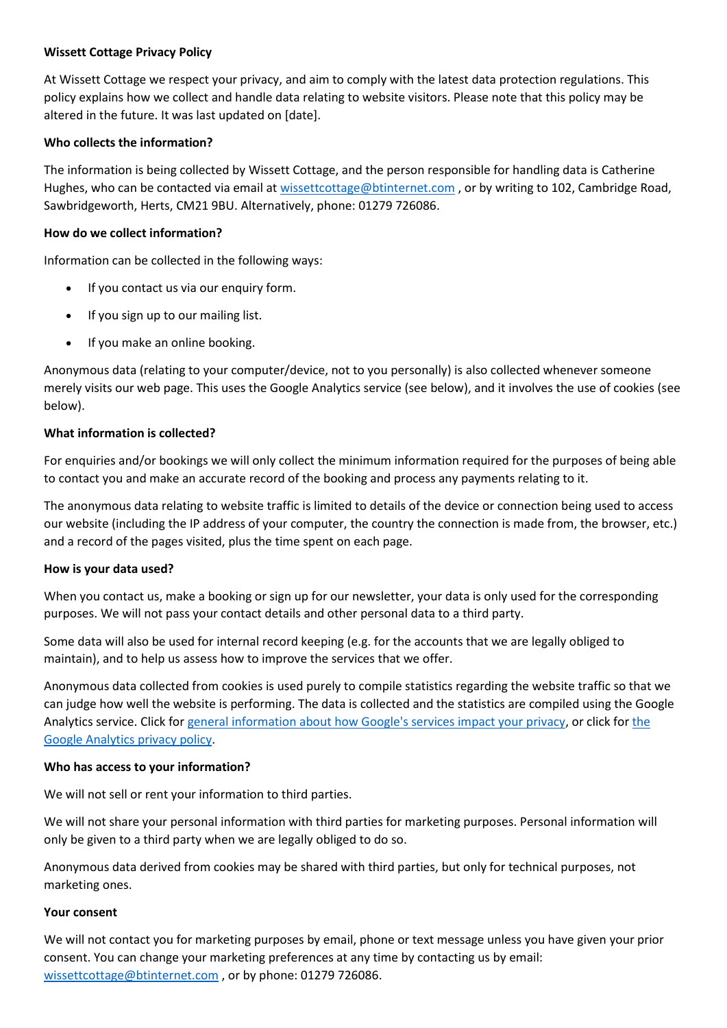### **Wissett Cottage Privacy Policy**

At Wissett Cottage we respect your privacy, and aim to comply with the latest data protection regulations. This policy explains how we collect and handle data relating to website visitors. Please note that this policy may be altered in the future. It was last updated on [date].

## **Who collects the information?**

The information is being collected by Wissett Cottage, and the person responsible for handling data is Catherine Hughes, who can be contacted via email at [wissettcottage@btinternet.com](mailto:wissettcottage@btinternet.com), or by writing to 102, Cambridge Road, Sawbridgeworth, Herts, CM21 9BU. Alternatively, phone: 01279 726086.

## **How do we collect information?**

Information can be collected in the following ways:

- If you contact us via our enquiry form.
- If you sign up to our mailing list.
- If you make an online booking.

Anonymous data (relating to your computer/device, not to you personally) is also collected whenever someone merely visits our web page. This uses the Google Analytics service (see below), and it involves the use of cookies (see below).

## **What information is collected?**

For enquiries and/or bookings we will only collect the minimum information required for the purposes of being able to contact you and make an accurate record of the booking and process any payments relating to it.

The anonymous data relating to website traffic is limited to details of the device or connection being used to access our website (including the IP address of your computer, the country the connection is made from, the browser, etc.) and a record of the pages visited, plus the time spent on each page.

### **How is your data used?**

When you contact us, make a booking or sign up for our newsletter, your data is only used for the corresponding purposes. We will not pass your contact details and other personal data to a third party.

Some data will also be used for internal record keeping (e.g. for the accounts that we are legally obliged to maintain), and to help us assess how to improve the services that we offer.

Anonymous data collected from cookies is used purely to compile statistics regarding the website traffic so that we can judge how well the website is performing. The data is collected and the statistics are compiled using the Google Analytics service. Click fo[r general information about how Google's services impact your privacy,](https://policies.google.com/technologies/partner-sites?hl=en-GB&gl=uk) or click fo[r the](https://support.google.com/analytics/answer/6004245?hl=en-GB)  [Google Analytics privacy policy.](https://support.google.com/analytics/answer/6004245?hl=en-GB)

### **Who has access to your information?**

We will not sell or rent your information to third parties.

We will not share your personal information with third parties for marketing purposes. Personal information will only be given to a third party when we are legally obliged to do so.

Anonymous data derived from cookies may be shared with third parties, but only for technical purposes, not marketing ones.

### **Your consent**

We will not contact you for marketing purposes by email, phone or text message unless you have given your prior consent. You can change your marketing preferences at any time by contacting us by email: [wissettcottage@btinternet.com](mailto:wissettcottage@btinternet.com) , or by phone: 01279 726086.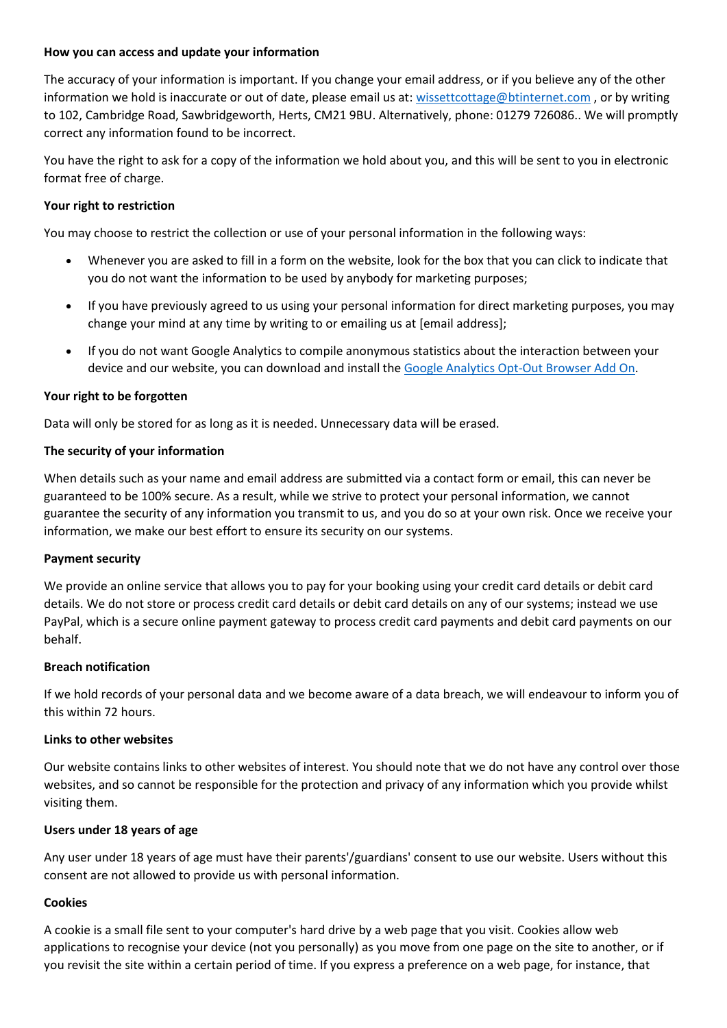### **How you can access and update your information**

The accuracy of your information is important. If you change your email address, or if you believe any of the other information we hold is inaccurate or out of date, please email us at: [wissettcottage@btinternet.com](mailto:wissettcottage@btinternet.com), or by writing to 102, Cambridge Road, Sawbridgeworth, Herts, CM21 9BU. Alternatively, phone: 01279 726086.. We will promptly correct any information found to be incorrect.

You have the right to ask for a copy of the information we hold about you, and this will be sent to you in electronic format free of charge.

# **Your right to restriction**

You may choose to restrict the collection or use of your personal information in the following ways:

- Whenever you are asked to fill in a form on the website, look for the box that you can click to indicate that you do not want the information to be used by anybody for marketing purposes;
- If you have previously agreed to us using your personal information for direct marketing purposes, you may change your mind at any time by writing to or emailing us at [email address];
- If you do not want Google Analytics to compile anonymous statistics about the interaction between your device and our website, you can download and install the [Google Analytics Opt-Out Browser Add On.](https://tools.google.com/dlpage/gaoptout)

# **Your right to be forgotten**

Data will only be stored for as long as it is needed. Unnecessary data will be erased.

## **The security of your information**

When details such as your name and email address are submitted via a contact form or email, this can never be guaranteed to be 100% secure. As a result, while we strive to protect your personal information, we cannot guarantee the security of any information you transmit to us, and you do so at your own risk. Once we receive your information, we make our best effort to ensure its security on our systems.

# **Payment security**

We provide an online service that allows you to pay for your booking using your credit card details or debit card details. We do not store or process credit card details or debit card details on any of our systems; instead we use PayPal, which is a secure online payment gateway to process credit card payments and debit card payments on our behalf.

### **Breach notification**

If we hold records of your personal data and we become aware of a data breach, we will endeavour to inform you of this within 72 hours.

### **Links to other websites**

Our website contains links to other websites of interest. You should note that we do not have any control over those websites, and so cannot be responsible for the protection and privacy of any information which you provide whilst visiting them.

### **Users under 18 years of age**

Any user under 18 years of age must have their parents'/guardians' consent to use our website. Users without this consent are not allowed to provide us with personal information.

# **Cookies**

A cookie is a small file sent to your computer's hard drive by a web page that you visit. Cookies allow web applications to recognise your device (not you personally) as you move from one page on the site to another, or if you revisit the site within a certain period of time. If you express a preference on a web page, for instance, that